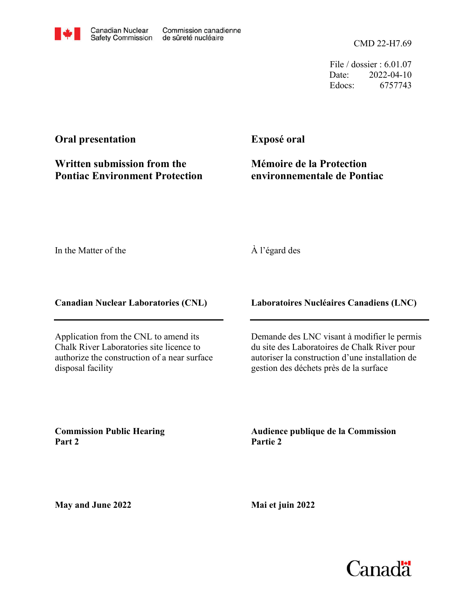CMD 22-H7.69

File / dossier : 6.01.07 Date: 2022-04-10 Edocs: 6757743

### **Oral presentation**

### **Written submission from the Pontiac Environment Protection**

**Exposé oral**

## **Mémoire de la Protection environnementale de Pontiac**

In the Matter of the

### À l'égard des

### **Canadian Nuclear Laboratories (CNL)**

Application from the CNL to amend its Chalk River Laboratories site licence to authorize the construction of a near surface disposal facility

**Laboratoires Nucléaires Canadiens (LNC)**

Demande des LNC visant à modifier le permis du site des Laboratoires de Chalk River pour autoriser la construction d'une installation de gestion des déchets près de la surface

**Commission Public Hearing Part 2**

**Audience publique de la Commission Partie 2**

**May and June 2022**

**Mai et juin 2022**

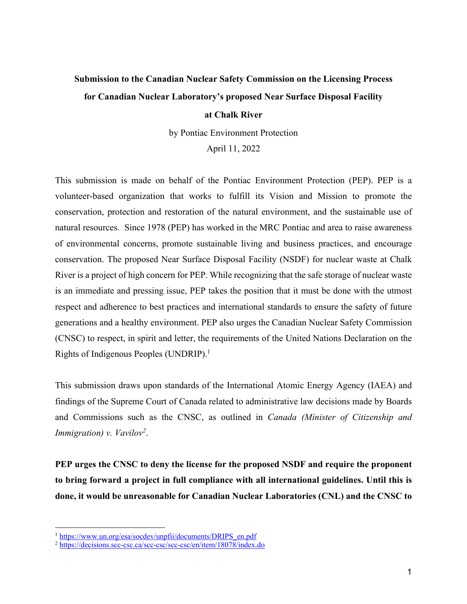# **Submission to the Canadian Nuclear Safety Commission on the Licensing Process for Canadian Nuclear Laboratory's proposed Near Surface Disposal Facility**

#### **at Chalk River**

by Pontiac Environment Protection

April 11, 2022

This submission is made on behalf of the Pontiac Environment Protection (PEP). PEP is a volunteer-based organization that works to fulfill its Vision and Mission to promote the conservation, protection and restoration of the natural environment, and the sustainable use of natural resources. Since 1978 (PEP) has worked in the MRC Pontiac and area to raise awareness of environmental concerns, promote sustainable living and business practices, and encourage conservation. The proposed Near Surface Disposal Facility (NSDF) for nuclear waste at Chalk River is a project of high concern for PEP. While recognizing that the safe storage of nuclear waste is an immediate and pressing issue, PEP takes the position that it must be done with the utmost respect and adherence to best practices and international standards to ensure the safety of future generations and a healthy environment. PEP also urges the Canadian Nuclear Safety Commission (CNSC) to respect, in spirit and letter, the requirements of the United Nations Declaration on the Rights of Indigenous Peoples (UNDRIP).1

This submission draws upon standards of the International Atomic Energy Agency (IAEA) and findings of the Supreme Court of Canada related to administrative law decisions made by Boards and Commissions such as the CNSC, as outlined in *Canada (Minister of Citizenship and Immigration) v. Vavilov2*.

**PEP urges the CNSC to deny the license for the proposed NSDF and require the proponent to bring forward a project in full compliance with all international guidelines. Until this is done, it would be unreasonable for Canadian Nuclear Laboratories (CNL) and the CNSC to**

<sup>&</sup>lt;sup>1</sup> https://www.un.org/esa/socdev/unpfii/documents/DRIPS\_en.pdf

<sup>&</sup>lt;sup>2</sup> https://decisions.scc-csc.ca/scc-csc/scc-csc/en/item/18078/index.do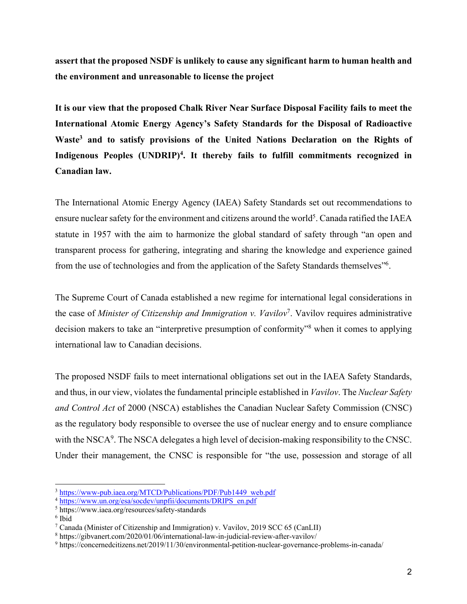**assert that the proposed NSDF is unlikely to cause any significant harm to human health and the environment and unreasonable to license the project**

**It is our view that the proposed Chalk River Near Surface Disposal Facility fails to meet the International Atomic Energy Agency's Safety Standards for the Disposal of Radioactive Waste3 and to satisfy provisions of the United Nations Declaration on the Rights of**  Indigenous Peoples (UNDRIP)<sup>4</sup>. It thereby fails to fulfill commitments recognized in **Canadian law.**

The International Atomic Energy Agency (IAEA) Safety Standards set out recommendations to ensure nuclear safety for the environment and citizens around the world<sup>5</sup>. Canada ratified the IAEA statute in 1957 with the aim to harmonize the global standard of safety through "an open and transparent process for gathering, integrating and sharing the knowledge and experience gained from the use of technologies and from the application of the Safety Standards themselves"6.

The Supreme Court of Canada established a new regime for international legal considerations in the case of *Minister of Citizenship and Immigration v. Vavilov*<sup>7</sup>. Vavilov requires administrative decision makers to take an "interpretive presumption of conformity"8 when it comes to applying international law to Canadian decisions.

The proposed NSDF fails to meet international obligations set out in the IAEA Safety Standards, and thus, in our view, violates the fundamental principle established in *Vavilov*. The *Nuclear Safety and Control Act* of 2000 (NSCA) establishes the Canadian Nuclear Safety Commission (CNSC) as the regulatory body responsible to oversee the use of nuclear energy and to ensure compliance with the NSCA<sup>9</sup>. The NSCA delegates a high level of decision-making responsibility to the CNSC. Under their management, the CNSC is responsible for "the use, possession and storage of all

<sup>&</sup>lt;sup>3</sup> https://www-pub.iaea.org/MTCD/Publications/PDF/Pub1449\_web.pdf

<sup>4</sup> https://www.un.org/esa/socdev/unpfii/documents/DRIPS\_en.pdf

<sup>5</sup> https://www.iaea.org/resources/safety-standards

<sup>6</sup> Ibid

<sup>&</sup>lt;sup>7</sup> Canada (Minister of Citizenship and Immigration) v. Vavilov, 2019 SCC 65 (CanLII)

<sup>8</sup> https://gibvanert.com/2020/01/06/international-law-in-judicial-review-after-vavilov/

<sup>9</sup> https://concernedcitizens.net/2019/11/30/environmental-petition-nuclear-governance-problems-in-canada/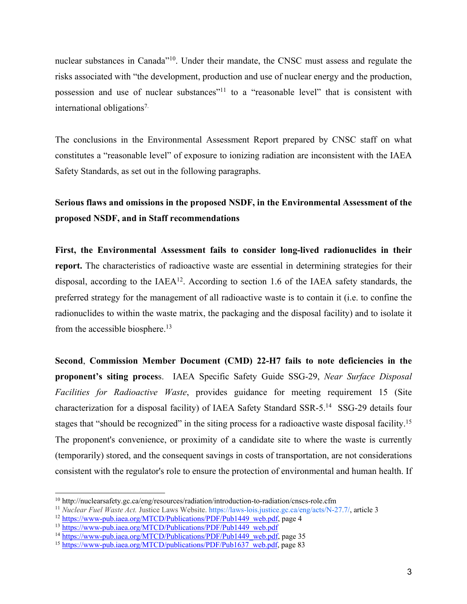nuclear substances in Canada<sup>"10</sup>. Under their mandate, the CNSC must assess and regulate the risks associated with "the development, production and use of nuclear energy and the production, possession and use of nuclear substances<sup>"11</sup> to a "reasonable level" that is consistent with international obligations7.

The conclusions in the Environmental Assessment Report prepared by CNSC staff on what constitutes a "reasonable level" of exposure to ionizing radiation are inconsistent with the IAEA Safety Standards, as set out in the following paragraphs.

## **Serious flaws and omissions in the proposed NSDF, in the Environmental Assessment of the proposed NSDF, and in Staff recommendations**

**First, the Environmental Assessment fails to consider long-lived radionuclides in their report.** The characteristics of radioactive waste are essential in determining strategies for their disposal, according to the  $IAEA<sup>12</sup>$ . According to section 1.6 of the IAEA safety standards, the preferred strategy for the management of all radioactive waste is to contain it (i.e. to confine the radionuclides to within the waste matrix, the packaging and the disposal facility) and to isolate it from the accessible biosphere.<sup>13</sup>

**Second**, **Commission Member Document (CMD) 22-H7 fails to note deficiencies in the proponent's siting proces**s. IAEA Specific Safety Guide SSG-29, *Near Surface Disposal Facilities for Radioactive Waste*, provides guidance for meeting requirement 15 (Site characterization for a disposal facility) of IAEA Safety Standard SSR-5.14 SSG-29 details four stages that "should be recognized" in the siting process for a radioactive waste disposal facility.<sup>15</sup> The proponent's convenience, or proximity of a candidate site to where the waste is currently (temporarily) stored, and the consequent savings in costs of transportation, are not considerations consistent with the regulator's role to ensure the protection of environmental and human health. If

<sup>10</sup> http://nuclearsafety.gc.ca/eng/resources/radiation/introduction-to-radiation/cnscs-role.cfm

<sup>&</sup>lt;sup>11</sup> *Nuclear Fuel Waste Act.* Justice Laws Website. https://laws-lois.justice.gc.ca/eng/acts/N-27.7/, article 3<sup>12</sup> https://www-pub.iaea.org/MTCD/Publications/PDF/Pub1449 web.pdf, page 4

<sup>&</sup>lt;sup>13</sup> https://www-pub.iaea.org/MTCD/Publications/PDF/Pub1449\_web.pdf

<sup>&</sup>lt;sup>14</sup> https://www-pub.iaea.org/MTCD/Publications/PDF/Pub1449\_web.pdf, page 35

<sup>&</sup>lt;sup>15</sup> https://www-pub.iaea.org/MTCD/publications/PDF/Pub1637\_web.pdf, page 83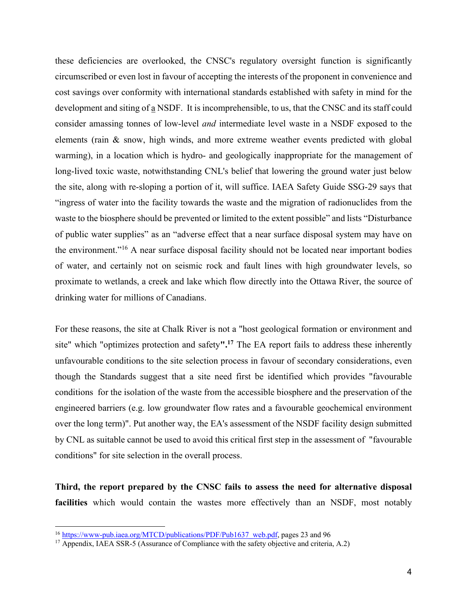these deficiencies are overlooked, the CNSC's regulatory oversight function is significantly circumscribed or even lost in favour of accepting the interests of the proponent in convenience and cost savings over conformity with international standards established with safety in mind for the development and siting of  $\underline{a}$  NSDF. It is incomprehensible, to us, that the CNSC and its staff could consider amassing tonnes of low-level *and* intermediate level waste in a NSDF exposed to the elements (rain & snow, high winds, and more extreme weather events predicted with global warming), in a location which is hydro- and geologically inappropriate for the management of long-lived toxic waste, notwithstanding CNL's belief that lowering the ground water just below the site, along with re-sloping a portion of it, will suffice. IAEA Safety Guide SSG-29 says that "ingress of water into the facility towards the waste and the migration of radionuclides from the waste to the biosphere should be prevented or limited to the extent possible" and lists "Disturbance of public water supplies" as an "adverse effect that a near surface disposal system may have on the environment."16 A near surface disposal facility should not be located near important bodies of water, and certainly not on seismic rock and fault lines with high groundwater levels, so proximate to wetlands, a creek and lake which flow directly into the Ottawa River, the source of drinking water for millions of Canadians.

For these reasons, the site at Chalk River is not a "host geological formation or environment and site" which "optimizes protection and safety**".17** The EA report fails to address these inherently unfavourable conditions to the site selection process in favour of secondary considerations, even though the Standards suggest that a site need first be identified which provides "favourable conditions for the isolation of the waste from the accessible biosphere and the preservation of the engineered barriers (e.g. low groundwater flow rates and a favourable geochemical environment over the long term)". Put another way, the EA's assessment of the NSDF facility design submitted by CNL as suitable cannot be used to avoid this critical first step in the assessment of "favourable conditions" for site selection in the overall process.

**Third, the report prepared by the CNSC fails to assess the need for alternative disposal facilities** which would contain the wastes more effectively than an NSDF, most notably

<sup>&</sup>lt;sup>16</sup> https://www-pub.iaea.org/MTCD/publications/PDF/Pub1637 web.pdf, pages 23 and 96

 $17$  Appendix, IAEA SSR-5 (Assurance of Compliance with the safety objective and criteria, A.2)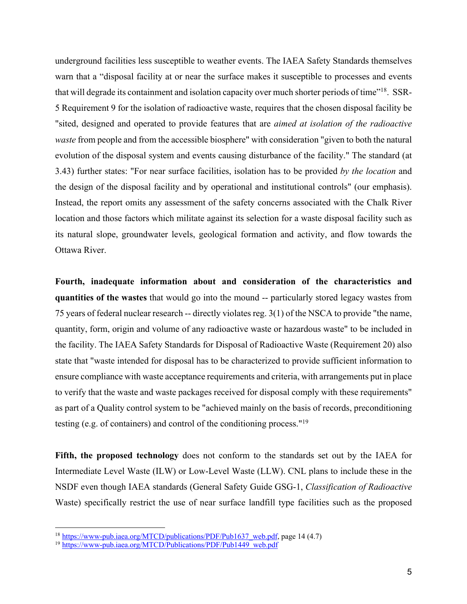underground facilities less susceptible to weather events. The IAEA Safety Standards themselves warn that a "disposal facility at or near the surface makes it susceptible to processes and events that will degrade its containment and isolation capacity over much shorter periods of time"18. SSR-5 Requirement 9 for the isolation of radioactive waste, requires that the chosen disposal facility be "sited, designed and operated to provide features that are *aimed at isolation of the radioactive waste* from people and from the accessible biosphere" with consideration "given to both the natural evolution of the disposal system and events causing disturbance of the facility." The standard (at 3.43) further states: "For near surface facilities, isolation has to be provided *by the location* and the design of the disposal facility and by operational and institutional controls" (our emphasis). Instead, the report omits any assessment of the safety concerns associated with the Chalk River location and those factors which militate against its selection for a waste disposal facility such as its natural slope, groundwater levels, geological formation and activity, and flow towards the Ottawa River.

**Fourth, inadequate information about and consideration of the characteristics and quantities of the wastes** that would go into the mound -- particularly stored legacy wastes from 75 years of federal nuclear research -- directly violates reg. 3(1) of the NSCA to provide "the name, quantity, form, origin and volume of any radioactive waste or hazardous waste" to be included in the facility. The IAEA Safety Standards for Disposal of Radioactive Waste (Requirement 20) also state that "waste intended for disposal has to be characterized to provide sufficient information to ensure compliance with waste acceptance requirements and criteria, with arrangements put in place to verify that the waste and waste packages received for disposal comply with these requirements" as part of a Quality control system to be "achieved mainly on the basis of records, preconditioning testing (e.g. of containers) and control of the conditioning process."19

**Fifth, the proposed technology** does not conform to the standards set out by the IAEA for Intermediate Level Waste (ILW) or Low-Level Waste (LLW). CNL plans to include these in the NSDF even though IAEA standards (General Safety Guide GSG-1, *Classification of Radioactive*  Waste) specifically restrict the use of near surface landfill type facilities such as the proposed

<sup>&</sup>lt;sup>18</sup> https://www-pub.iaea.org/MTCD/publications/PDF/Pub1637 web.pdf, page 14 (4.7)

<sup>&</sup>lt;sup>19</sup> https://www-pub.iaea.org/MTCD/Publications/PDF/Pub1449\_web.pdf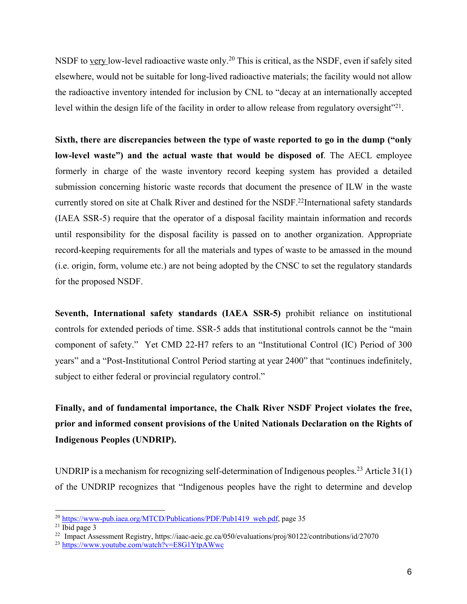NSDF to very low-level radioactive waste only.<sup>20</sup> This is critical, as the NSDF, even if safely sited elsewhere, would not be suitable for long-lived radioactive materials; the facility would not allow the radioactive inventory intended for inclusion by CNL to "decay at an internationally accepted level within the design life of the facility in order to allow release from regulatory oversight"<sup>21</sup>.

**Sixth, there are discrepancies between the type of waste reported to go in the dump ("only low-level waste") and the actual waste that would be disposed of**. The AECL employee formerly in charge of the waste inventory record keeping system has provided a detailed submission concerning historic waste records that document the presence of ILW in the waste currently stored on site at Chalk River and destined for the NSDF.<sup>22</sup>International safety standards (IAEA SSR-5) require that the operator of a disposal facility maintain information and records until responsibility for the disposal facility is passed on to another organization. Appropriate record-keeping requirements for all the materials and types of waste to be amassed in the mound (i.e. origin, form, volume etc.) are not being adopted by the CNSC to set the regulatory standards for the proposed NSDF.

**Seventh, International safety standards (IAEA SSR-5)** prohibit reliance on institutional controls for extended periods of time. SSR-5 adds that institutional controls cannot be the "main component of safety." Yet CMD 22-H7 refers to an "Institutional Control (IC) Period of 300 years" and a "Post-Institutional Control Period starting at year 2400" that "continues indefinitely, subject to either federal or provincial regulatory control."

# **Finally, and of fundamental importance, the Chalk River NSDF Project violates the free, prior and informed consent provisions of the United Nationals Declaration on the Rights of Indigenous Peoples (UNDRIP).**

UNDRIP is a mechanism for recognizing self-determination of Indigenous peoples.<sup>23</sup> Article  $31(1)$ of the UNDRIP recognizes that "Indigenous peoples have the right to determine and develop

<sup>&</sup>lt;sup>20</sup> https://www-pub.iaea.org/MTCD/Publications/PDF/Pub1419\_web.pdf, page 35

 $21$  Ibid page 3

<sup>&</sup>lt;sup>22</sup> Impact Assessment Registry, https://iaac-aeic.gc.ca/050/evaluations/proj/80122/contributions/id/27070

<sup>23</sup> https://www.youtube.com/watch?v=E8G1YtpAWwc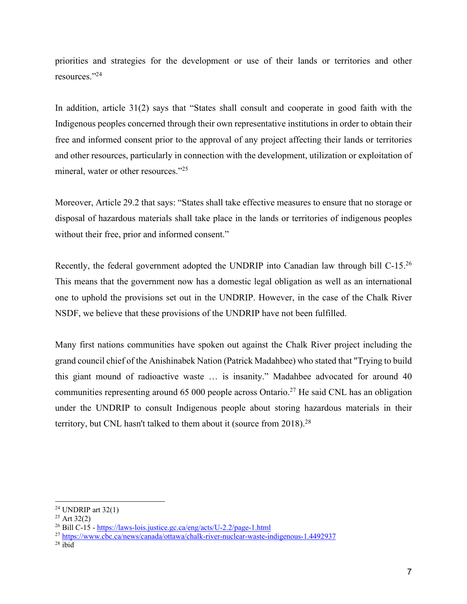priorities and strategies for the development or use of their lands or territories and other resources."24

In addition, article 31(2) says that "States shall consult and cooperate in good faith with the Indigenous peoples concerned through their own representative institutions in order to obtain their free and informed consent prior to the approval of any project affecting their lands or territories and other resources, particularly in connection with the development, utilization or exploitation of mineral, water or other resources."<sup>25</sup>

Moreover, Article 29.2 that says: "States shall take effective measures to ensure that no storage or disposal of hazardous materials shall take place in the lands or territories of indigenous peoples without their free, prior and informed consent."

Recently, the federal government adopted the UNDRIP into Canadian law through bill C-15.<sup>26</sup> This means that the government now has a domestic legal obligation as well as an international one to uphold the provisions set out in the UNDRIP. However, in the case of the Chalk River NSDF, we believe that these provisions of the UNDRIP have not been fulfilled.

Many first nations communities have spoken out against the Chalk River project including the grand council chief of the Anishinabek Nation (Patrick Madahbee) who stated that "Trying to build this giant mound of radioactive waste … is insanity." Madahbee advocated for around 40 communities representing around 65 000 people across Ontario.<sup>27</sup> He said CNL has an obligation under the UNDRIP to consult Indigenous people about storing hazardous materials in their territory, but CNL hasn't talked to them about it (source from 2018).28

 $24$  UNDRIP art 32(1)

 $25$  Art 32(2)

<sup>&</sup>lt;sup>26</sup> Bill C-15 - https://laws-lois.justice.gc.ca/eng/acts/U-2.2/page-1.html

<sup>27</sup> https://www.cbc.ca/news/canada/ottawa/chalk-river-nuclear-waste-indigenous-1.4492937

 $28$  ibid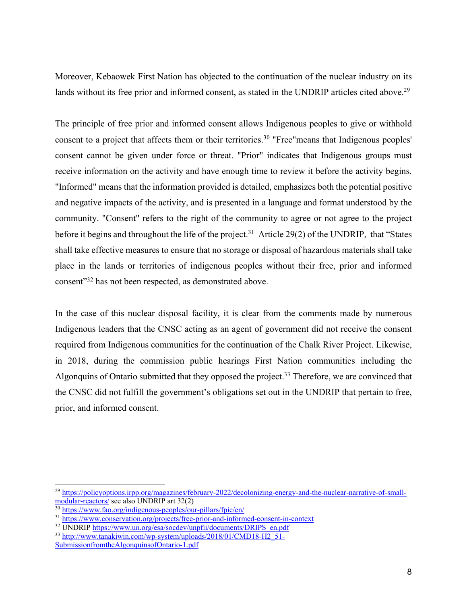Moreover, Kebaowek First Nation has objected to the continuation of the nuclear industry on its lands without its free prior and informed consent, as stated in the UNDRIP articles cited above.<sup>29</sup>

The principle of free prior and informed consent allows Indigenous peoples to give or withhold consent to a project that affects them or their territories.<sup>30</sup> "Free" means that Indigenous peoples' consent cannot be given under force or threat. "Prior" indicates that Indigenous groups must receive information on the activity and have enough time to review it before the activity begins. "Informed" means that the information provided is detailed, emphasizes both the potential positive and negative impacts of the activity, and is presented in a language and format understood by the community. "Consent" refers to the right of the community to agree or not agree to the project before it begins and throughout the life of the project.<sup>31</sup> Article 29(2) of the UNDRIP, that "States" shall take effective measures to ensure that no storage or disposal of hazardous materials shall take place in the lands or territories of indigenous peoples without their free, prior and informed consent"32 has not been respected, as demonstrated above.

In the case of this nuclear disposal facility, it is clear from the comments made by numerous Indigenous leaders that the CNSC acting as an agent of government did not receive the consent required from Indigenous communities for the continuation of the Chalk River Project. Likewise, in 2018, during the commission public hearings First Nation communities including the Algonquins of Ontario submitted that they opposed the project.<sup>33</sup> Therefore, we are convinced that the CNSC did not fulfill the government's obligations set out in the UNDRIP that pertain to free, prior, and informed consent.

<sup>&</sup>lt;sup>29</sup> https://policyoptions.irpp.org/magazines/february-2022/decolonizing-energy-and-the-nuclear-narrative-of-smallmodular-reactors/ see also UNDRIP art 32(2)

<sup>30</sup> https://www.fao.org/indigenous-peoples/our-pillars/fpic/en/

<sup>&</sup>lt;sup>31</sup> https://www.conservation.org/projects/free-prior-and-informed-consent-in-context

<sup>32</sup> UNDRIP https://www.un.org/esa/socdev/unpfii/documents/DRIPS\_en.pdf <sup>33</sup> http://www.tanakiwin.com/wp-system/uploads/2018/01/CMD18-H2\_51-

SubmissionfromtheAlgonquinsofOntario-1.pdf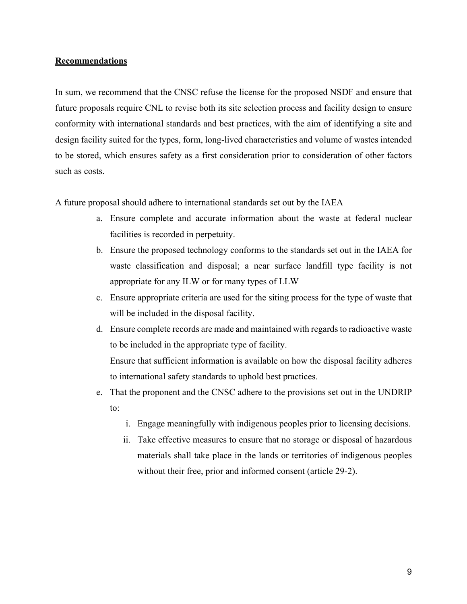#### **Recommendations**

In sum, we recommend that the CNSC refuse the license for the proposed NSDF and ensure that future proposals require CNL to revise both its site selection process and facility design to ensure conformity with international standards and best practices, with the aim of identifying a site and design facility suited for the types, form, long-lived characteristics and volume of wastes intended to be stored, which ensures safety as a first consideration prior to consideration of other factors such as costs.

A future proposal should adhere to international standards set out by the IAEA

- a. Ensure complete and accurate information about the waste at federal nuclear facilities is recorded in perpetuity.
- b. Ensure the proposed technology conforms to the standards set out in the IAEA for waste classification and disposal; a near surface landfill type facility is not appropriate for any ILW or for many types of LLW
- c. Ensure appropriate criteria are used for the siting process for the type of waste that will be included in the disposal facility.
- d. Ensure complete records are made and maintained with regards to radioactive waste to be included in the appropriate type of facility.

Ensure that sufficient information is available on how the disposal facility adheres to international safety standards to uphold best practices.

- e. That the proponent and the CNSC adhere to the provisions set out in the UNDRIP to:
	- i. Engage meaningfully with indigenous peoples prior to licensing decisions.
	- ii. Take effective measures to ensure that no storage or disposal of hazardous materials shall take place in the lands or territories of indigenous peoples without their free, prior and informed consent (article 29-2).